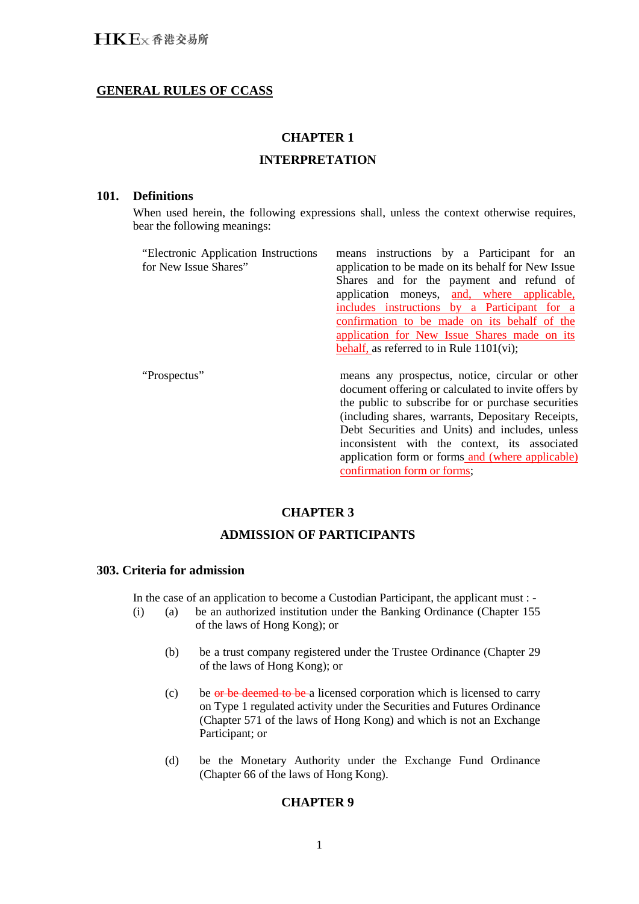# **GENERAL RULES OF CCASS**

# **CHAPTER 1**

# **INTERPRETATION**

#### **101. Definitions**

When used herein, the following expressions shall, unless the context otherwise requires, bear the following meanings:

| "Electronic Application Instructions"<br>for New Issue Shares" | means instructions by a Participant for an<br>application to be made on its behalf for New Issue<br>Shares and for the payment and refund of<br>application moneys, and, where applicable,<br>includes instructions by a Participant for a<br>confirmation to be made on its behalf of the<br>application for New Issue Shares made on its<br>behalf, as referred to in Rule $1101(vi)$ ; |
|----------------------------------------------------------------|-------------------------------------------------------------------------------------------------------------------------------------------------------------------------------------------------------------------------------------------------------------------------------------------------------------------------------------------------------------------------------------------|
| "Prospectus"                                                   | means any prospectus, notice, circular or other<br>document offering or calculated to invite offers by<br>the public to subscribe for or purchase securities<br>(including shares, warrants, Depositary Receipts,<br>Debt Securities and Units) and includes, unless<br>inconsistent with the context, its associated                                                                     |

**CHAPTER 3** 

confirmation form or forms;

application form or forms and (where applicable)

# **ADMISSION OF PARTICIPANTS**

## **303. Criteria for admission**

In the case of an application to become a Custodian Participant, the applicant must : -

- (i) (a) be an authorized institution under the Banking Ordinance (Chapter 155 of the laws of Hong Kong); or
	- (b) be a trust company registered under the Trustee Ordinance (Chapter 29 of the laws of Hong Kong); or
	- (c) be or be deemed to be a licensed corporation which is licensed to carry on Type 1 regulated activity under the Securities and Futures Ordinance (Chapter 571 of the laws of Hong Kong) and which is not an Exchange Participant; or
	- (d) be the Monetary Authority under the Exchange Fund Ordinance (Chapter 66 of the laws of Hong Kong).

#### **CHAPTER 9**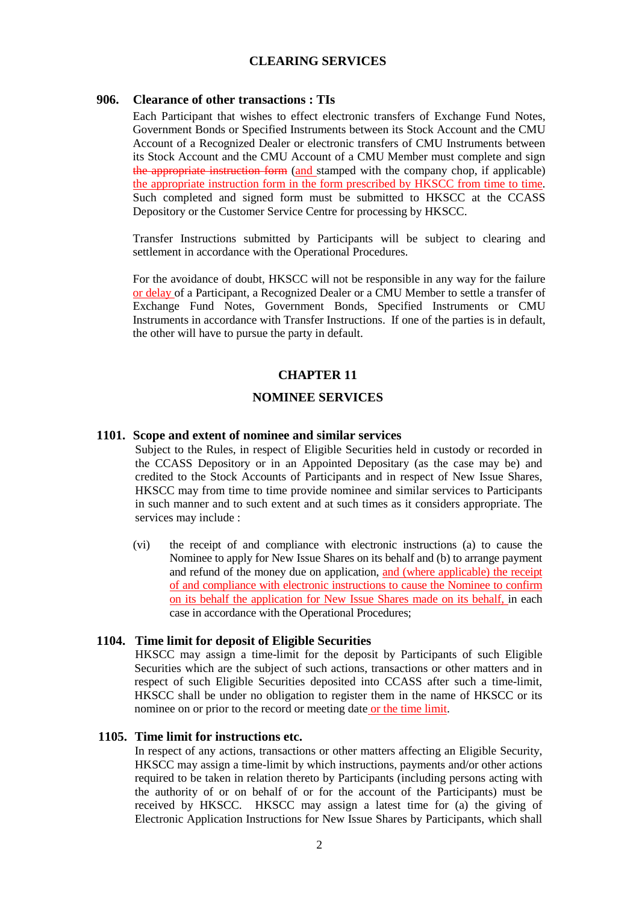### **CLEARING SERVICES**

### **906. Clearance of other transactions : TIs**

Each Participant that wishes to effect electronic transfers of Exchange Fund Notes, Government Bonds or Specified Instruments between its Stock Account and the CMU Account of a Recognized Dealer or electronic transfers of CMU Instruments between its Stock Account and the CMU Account of a CMU Member must complete and sign the appropriate instruction form (and stamped with the company chop, if applicable) the appropriate instruction form in the form prescribed by HKSCC from time to time. Such completed and signed form must be submitted to HKSCC at the CCASS Depository or the Customer Service Centre for processing by HKSCC.

Transfer Instructions submitted by Participants will be subject to clearing and settlement in accordance with the Operational Procedures.

For the avoidance of doubt, HKSCC will not be responsible in any way for the failure or delay of a Participant, a Recognized Dealer or a CMU Member to settle a transfer of Exchange Fund Notes, Government Bonds, Specified Instruments or CMU Instruments in accordance with Transfer Instructions. If one of the parties is in default, the other will have to pursue the party in default.

### **CHAPTER 11**

### **NOMINEE SERVICES**

### **1101. Scope and extent of nominee and similar services**

Subject to the Rules, in respect of Eligible Securities held in custody or recorded in the CCASS Depository or in an Appointed Depositary (as the case may be) and credited to the Stock Accounts of Participants and in respect of New Issue Shares, HKSCC may from time to time provide nominee and similar services to Participants in such manner and to such extent and at such times as it considers appropriate. The services may include :

(vi) the receipt of and compliance with electronic instructions (a) to cause the Nominee to apply for New Issue Shares on its behalf and (b) to arrange payment and refund of the money due on application, and (where applicable) the receipt of and compliance with electronic instructions to cause the Nominee to confirm on its behalf the application for New Issue Shares made on its behalf, in each case in accordance with the Operational Procedures;

#### **1104. Time limit for deposit of Eligible Securities**

HKSCC may assign a time-limit for the deposit by Participants of such Eligible Securities which are the subject of such actions, transactions or other matters and in respect of such Eligible Securities deposited into CCASS after such a time-limit, HKSCC shall be under no obligation to register them in the name of HKSCC or its nominee on or prior to the record or meeting date or the time limit.

### **1105. Time limit for instructions etc.**

In respect of any actions, transactions or other matters affecting an Eligible Security, HKSCC may assign a time-limit by which instructions, payments and/or other actions required to be taken in relation thereto by Participants (including persons acting with the authority of or on behalf of or for the account of the Participants) must be received by HKSCC. HKSCC may assign a latest time for (a) the giving of Electronic Application Instructions for New Issue Shares by Participants, which shall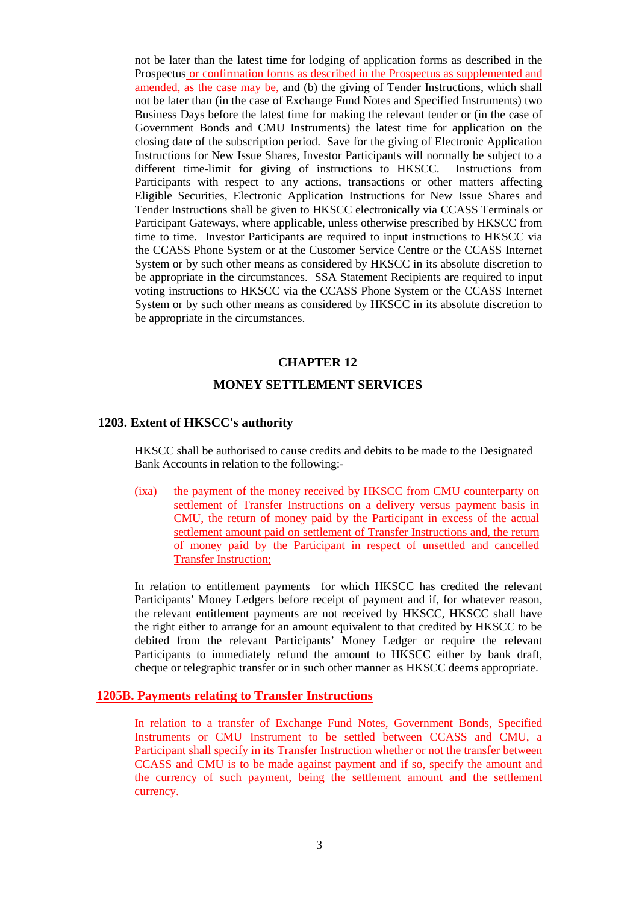not be later than the latest time for lodging of application forms as described in the Prospectus or confirmation forms as described in the Prospectus as supplemented and amended, as the case may be, and (b) the giving of Tender Instructions, which shall not be later than (in the case of Exchange Fund Notes and Specified Instruments) two Business Days before the latest time for making the relevant tender or (in the case of Government Bonds and CMU Instruments) the latest time for application on the closing date of the subscription period. Save for the giving of Electronic Application Instructions for New Issue Shares, Investor Participants will normally be subject to a different time-limit for giving of instructions to HKSCC. Instructions from Participants with respect to any actions, transactions or other matters affecting Eligible Securities, Electronic Application Instructions for New Issue Shares and Tender Instructions shall be given to HKSCC electronically via CCASS Terminals or Participant Gateways, where applicable, unless otherwise prescribed by HKSCC from time to time. Investor Participants are required to input instructions to HKSCC via the CCASS Phone System or at the Customer Service Centre or the CCASS Internet System or by such other means as considered by HKSCC in its absolute discretion to be appropriate in the circumstances. SSA Statement Recipients are required to input voting instructions to HKSCC via the CCASS Phone System or the CCASS Internet System or by such other means as considered by HKSCC in its absolute discretion to be appropriate in the circumstances.

### **CHAPTER 12**

### **MONEY SETTLEMENT SERVICES**

#### **1203. Extent of HKSCC's authority**

HKSCC shall be authorised to cause credits and debits to be made to the Designated Bank Accounts in relation to the following:-

(ixa) the payment of the money received by HKSCC from CMU counterparty on settlement of Transfer Instructions on a delivery versus payment basis in CMU, the return of money paid by the Participant in excess of the actual settlement amount paid on settlement of Transfer Instructions and, the return of money paid by the Participant in respect of unsettled and cancelled Transfer Instruction;

In relation to entitlement payments for which HKSCC has credited the relevant Participants' Money Ledgers before receipt of payment and if, for whatever reason, the relevant entitlement payments are not received by HKSCC, HKSCC shall have the right either to arrange for an amount equivalent to that credited by HKSCC to be debited from the relevant Participants' Money Ledger or require the relevant Participants to immediately refund the amount to HKSCC either by bank draft, cheque or telegraphic transfer or in such other manner as HKSCC deems appropriate.

### **1205B. Payments relating to Transfer Instructions**

In relation to a transfer of Exchange Fund Notes, Government Bonds, Specified Instruments or CMU Instrument to be settled between CCASS and CMU, a Participant shall specify in its Transfer Instruction whether or not the transfer between CCASS and CMU is to be made against payment and if so, specify the amount and the currency of such payment, being the settlement amount and the settlement currency.